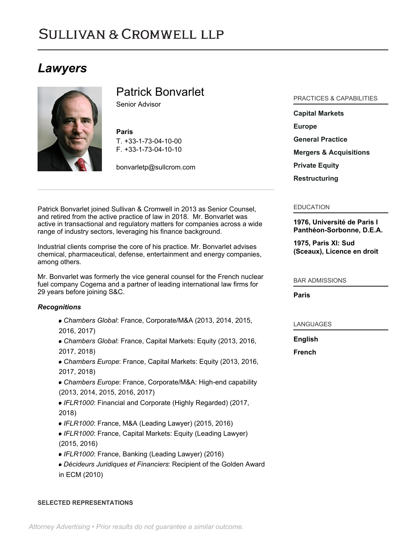# **SULLIVAN & CROMWELL LLP**

## *Lawyers*



## Patrick Bonvarlet

Senior Advisor

## **Paris**

T. [+33-1-73-04-10-00](tel:+33-1-73-04-10-00) F. [+33-1-73-04-10-10](tel:+33-1-73-04-10-10)

[bonvarletp@sullcrom.com](https://www.sullcrom.com/email-disclaimer?profsid=lawyers/patrick-bonvarlet)

Patrick Bonvarlet joined Sullivan & Cromwell in 2013 as Senior Counsel, and retired from the active practice of law in 2018. Mr. Bonvarlet was active in transactional and regulatory matters for companies across a wide range of industry sectors, leveraging his finance background.

Industrial clients comprise the core of his practice. Mr. Bonvarlet advises chemical, pharmaceutical, defense, entertainment and energy companies, among others.

Mr. Bonvarlet was formerly the vice general counsel for the French nuclear fuel company Cogema and a partner of leading international law firms for 29 years before joining S&C.

## *Recognitions*

- *Chambers Global*: France, Corporate/M&A (2013, 2014, 2015, 2016, 2017)
- *Chambers Global*: France, Capital Markets: Equity (2013, 2016, 2017, 2018)
- *Chambers Europe*: France, Capital Markets: Equity (2013, 2016, 2017, 2018)
- *Chambers Europe*: France, Corporate/M&A: High-end capability (2013, 2014, 2015, 2016, 2017)
- *IFLR1000*: Financial and Corporate (Highly Regarded) (2017, 2018)
- *IFLR1000*: France, M&A (Leading Lawyer) (2015, 2016)
- *IFLR1000*: France, Capital Markets: Equity (Leading Lawyer) (2015, 2016)
- *IFLR1000*: France, Banking (Leading Lawyer) (2016)
- *Décideurs Juridiques et Financiers*: Recipient of the Golden Award in ECM (2010)

#### **SELECTED REPRESENTATIONS**

## PRACTICES & CAPABILITIES

**[Capital Markets](https://www.sullcrom.com/capital-markets-practice) [Europe](https://www.sullcrom.com/europe) [General Practice](https://www.sullcrom.com/general-practice) [Mergers & Acquisitions](https://www.sullcrom.com/Mergers--Acquisitions-Practices) [Private Equity](https://www.sullcrom.com/Private-Equity-Practices) [Restructuring](https://www.sullcrom.com/Restructuring-and-Bankruptcy-Practices)**

## EDUCATION

**1976, Université de Paris I Panthéon-Sorbonne, D.E.A.** 

**1975, Paris XI: Sud (Sceaux), Licence en droit** 

## BAR ADMISSIONS

**Paris** 

## LANGUAGES

**English** 

**French**